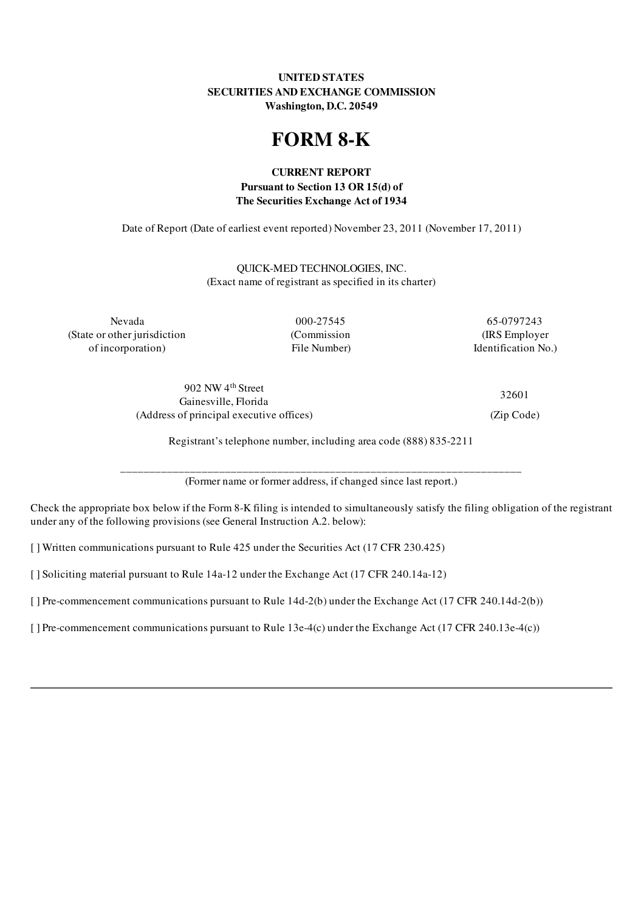# UNITED STATES SECURITIES AND EXCHANGE COMMISSION Washington, D.C. 20549

# FORM 8-K

# CURRENT REPORT Pursuant to Section 13 OR 15(d) of The Securities Exchange Act of 1934

Date of Report (Date of earliest event reported) November 23, 2011 (November 17, 2011)

QUICK-MED TECHNOLOGIES, INC. (Exact name of registrant as specified in its charter)

Nevada 000-27545 65-0797243 (State or other jurisdiction (Commission (IRS Employer of incorporation) File Number) Identification No.)

902 NW 4 th Street Gainesville, Florida (Address of principal executive offices) (Zip Code)

32601

Registrant's telephone number, including area code (888) 835-2211

\_\_\_\_\_\_\_\_\_\_\_\_\_\_\_\_\_\_\_\_\_\_\_\_\_\_\_\_\_\_\_\_\_\_\_\_\_\_\_\_\_\_\_\_\_\_\_\_\_\_\_\_\_\_\_\_\_\_\_\_\_\_\_\_\_\_\_\_\_ (Former name or former address, if changed since last report.)

Check the appropriate box below if the Form 8-K filing is intended to simultaneously satisfy the filing obligation of the registrant under any of the following provisions (see General Instruction A.2. below):

[ ] Written communications pursuant to Rule 425 under the Securities Act (17 CFR 230.425)

[ ] Soliciting material pursuant to Rule 14a-12 under the Exchange Act (17 CFR 240.14a-12)

[] Pre-commencement communications pursuant to Rule 14d-2(b) under the Exchange Act (17 CFR 240.14d-2(b))

[ ] Pre-commencement communications pursuant to Rule 13e-4(c) under the Exchange Act (17 CFR 240.13e-4(c))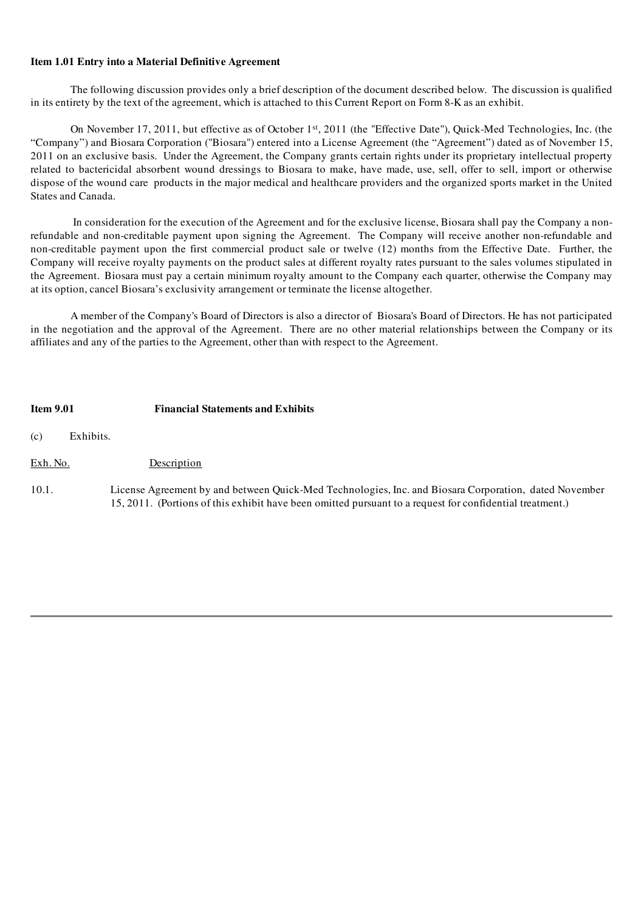## Item 1.01 Entry into a Material Definitive Agreement

The following discussion provides only a brief description of the document described below. The discussion is qualified in its entirety by the text of the agreement, which is attached to this Current Report on Form 8-K as an exhibit.

On November 17, 2011, but effective as of October 1<sup>st</sup>, 2011 (the "Effective Date"), Quick-Med Technologies, Inc. (the "Company") and Biosara Corporation ("Biosara") entered into a License Agreement (the "Agreement") dated as of November 15, 2011 on an exclusive basis. Under the Agreement, the Company grants certain rights under its proprietary intellectual property related to bactericidal absorbent wound dressings to Biosara to make, have made, use, sell, offer to sell, import or otherwise dispose of the wound care products in the major medical and healthcare providers and the organized sports market in the United States and Canada.

In consideration for the execution of the Agreement and for the exclusive license, Biosara shall pay the Company a nonrefundable and non-creditable payment upon signing the Agreement. The Company will receive another non-refundable and non-creditable payment upon the first commercial product sale or twelve (12) months from the Effective Date. Further, the Company will receive royalty payments on the product sales at different royalty rates pursuant to the sales volumes stipulated in the Agreement. Biosara must pay a certain minimum royalty amount to the Company each quarter, otherwise the Company may at its option, cancel Biosara's exclusivity arrangement or terminate the license altogether.

A member of the Company's Board of Directors is also a director of Biosara's Board of Directors. He has not participated in the negotiation and the approval of the Agreement. There are no other material relationships between the Company or its affiliates and any of the parties to the Agreement, other than with respect to the Agreement.

## Item 9.01 Financial Statements and Exhibits

(c) Exhibits.

- Exh. No. Description
- 10.1. License Agreement by and between Quick-Med Technologies, Inc. and Biosara Corporation, dated November 15, 2011. (Portions of this exhibit have been omitted pursuant to a request for confidential treatment.)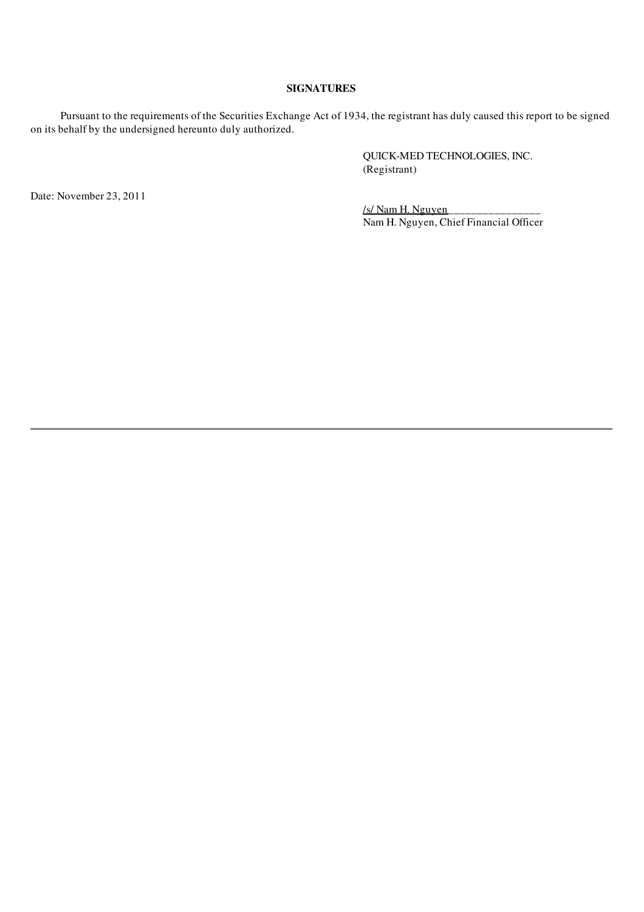## SIGNATURES

Pursuant to the requirements of the Securities Exchange Act of 1934, the registrant has duly caused this report to be signed on its behalf by the undersigned hereunto duly authorized.

> QUICK-MED TECHNOLOGIES, INC. (Registrant)

Date: November 23, 2011

/s/ Nam H. Nguyen\_\_\_\_\_\_\_\_\_\_\_\_\_\_\_\_ Nam H. Nguyen, Chief Financial Officer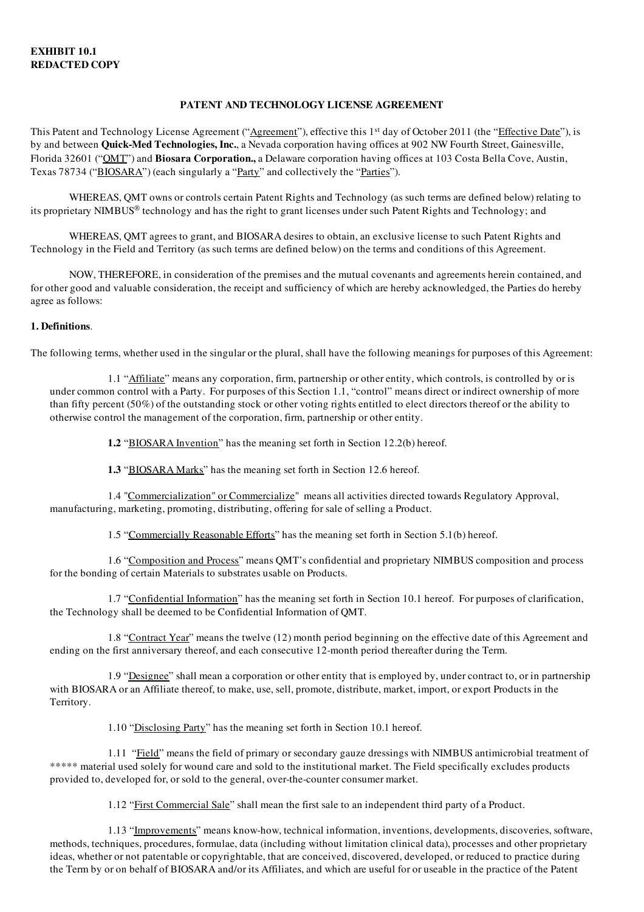## PATENT AND TECHNOLOGY LICENSE AGREEMENT

This Patent and Technology License Agreement ("Agreement"), effective this 1<sup>st</sup> day of October 2011 (the "Effective Date"), is by and between **Quick-Med Technologies, Inc.**, a Nevada corporation having offices at 902 NW Fourth Street, Gainesville, Florida 32601 ("OMT") and **Biosara Corporation,** a Delaware corporation having offices at 103 Costa Bella Cove, Austin, Texas 78734 ("BIOSARA") (each singularly a "Party" and collectively the "Parties").

WHEREAS, QMT owns or controls certain Patent Rights and Technology (as such terms are defined below) relating to its proprietary NIMBUS ® technology and has the right to grant licenses under such Patent Rights and Technology; and

WHEREAS, QMT agrees to grant, and BIOSARA desires to obtain, an exclusive license to such Patent Rights and Technology in the Field and Territory (as such terms are defined below) on the terms and conditions of this Agreement.

NOW, THEREFORE, in consideration of the premises and the mutual covenants and agreements herein contained, and for other good and valuable consideration, the receipt and sufficiency of which are hereby acknowledged, the Parties do hereby agree as follows:

## 1. Definitions.

The following terms, whether used in the singular or the plural, shall have the following meanings for purposes of this Agreement:

1.1 "Affiliate" means any corporation, firm, partnership or other entity, which controls, is controlled by or is under common control with a Party. For purposes of this Section 1.1, "control" means direct or indirect ownership of more than fifty percent (50%) of the outstanding stock or other voting rights entitled to elect directors thereof or the ability to otherwise control the management of the corporation, firm, partnership or other entity.

1.2 "BIOSARA Invention" has the meaning set forth in Section 12.2(b) hereof.

1.3 "BIOSARA Marks" has the meaning set forth in Section 12.6 hereof.

1.4 "Commercialization" or Commercialize" means all activities directed towards Regulatory Approval, manufacturing, marketing, promoting, distributing, offering for sale of selling a Product.

1.5 "Commercially Reasonable Efforts" has the meaning set forth in Section 5.1(b) hereof.

1.6 "Composition and Process" means QMT's confidential and proprietary NIMBUS composition and process for the bonding of certain Materials to substrates usable on Products.

1.7 "Confidential Information" has the meaning set forth in Section 10.1 hereof. For purposes of clarification, the Technology shall be deemed to be Confidential Information of QMT.

1.8 "Contract Year" means the twelve (12) month period beginning on the effective date of this Agreement and ending on the first anniversary thereof, and each consecutive 12-month period thereafter during the Term.

1.9 "Designee" shall mean a corporation or other entity that is employed by, under contract to, or in partnership with BIOSARA or an Affiliate thereof, to make, use, sell, promote, distribute, market, import, or export Products in the Territory.

1.10 "Disclosing Party" has the meaning set forth in Section 10.1 hereof.

1.11 "Field" means the field of primary or secondary gauze dressings with NIMBUS antimicrobial treatment of \*\*\*\*\* material used solely for wound care and sold to the institutional market. The Field specifically excludes products provided to, developed for, or sold to the general, over-the-counter consumer market.

1.12 "First Commercial Sale" shall mean the first sale to an independent third party of a Product.

1.13 "Improvements" means know-how, technical information, inventions, developments, discoveries, software, methods, techniques, procedures, formulae, data (including without limitation clinical data), processes and other proprietary ideas, whether or not patentable or copyrightable, that are conceived, discovered, developed, or reduced to practice during the Term by or on behalf of BIOSARA and/or its Affiliates, and which are useful for or useable in the practice of the Patent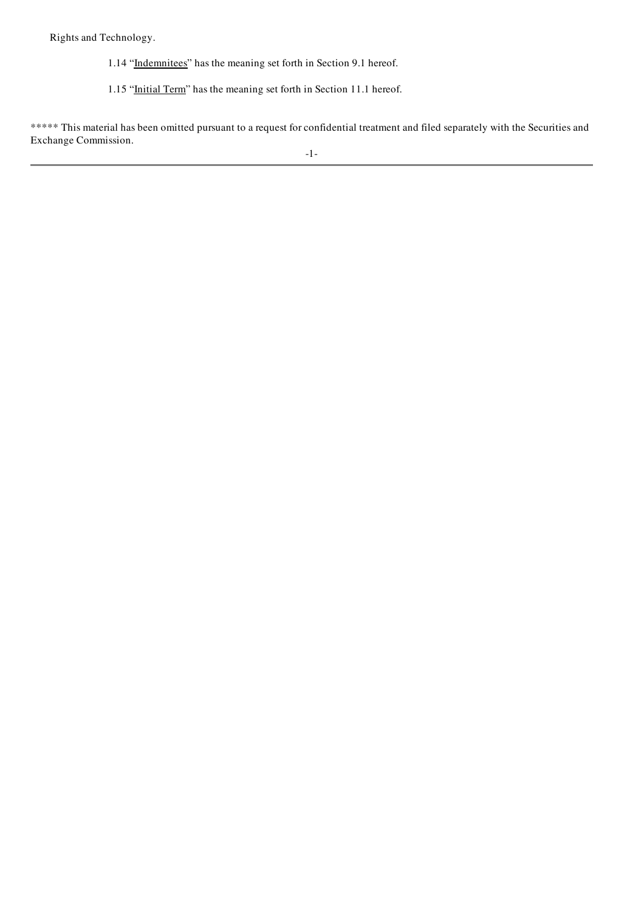Rights and Technology.

- 1.14 "Indemnitees" has the meaning set forth in Section 9.1 hereof.
- 1.15 "Initial Term" has the meaning set forth in Section 11.1 hereof.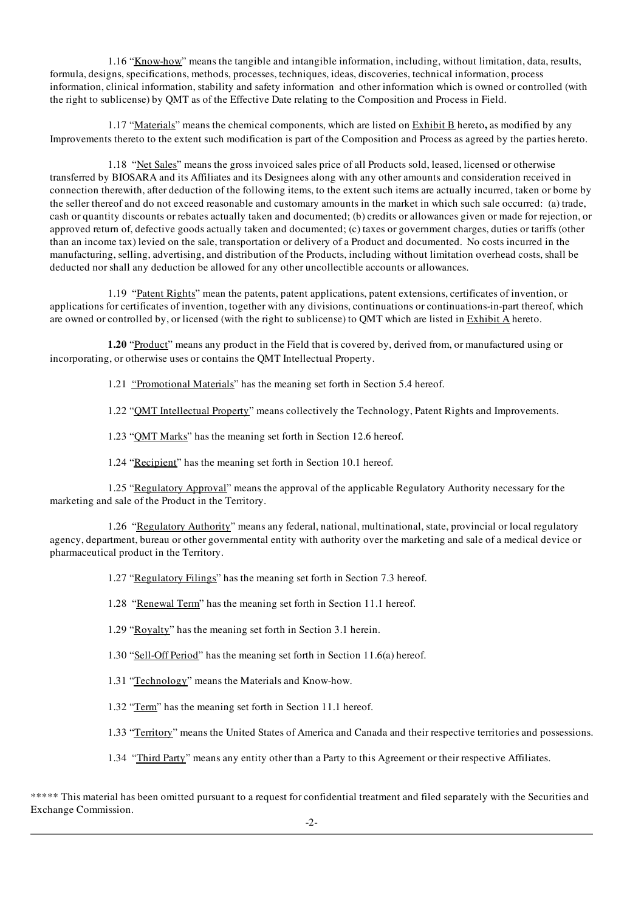1.16 "Know-how" means the tangible and intangible information, including, without limitation, data, results, formula, designs, specifications, methods, processes, techniques, ideas, discoveries, technical information, process information, clinical information, stability and safety information and other information which is owned or controlled (with the right to sublicense) by QMT as of the Effective Date relating to the Composition and Process in Field.

1.17 "Materials" means the chemical components, which are listed on **Exhibit B** hereto, as modified by any Improvements thereto to the extent such modification is part of the Composition and Process as agreed by the parties hereto.

1.18 "Net Sales" means the gross invoiced sales price of all Products sold, leased, licensed or otherwise transferred by BIOSARA and its Affiliates and its Designees along with any other amounts and consideration received in connection therewith, after deduction of the following items, to the extent such items are actually incurred, taken or borne by the seller thereof and do not exceed reasonable and customary amounts in the market in which such sale occurred: (a) trade, cash or quantity discounts or rebates actually taken and documented; (b) credits or allowances given or made for rejection, or approved return of, defective goods actually taken and documented; (c) taxes or government charges, duties or tariffs (other than an income tax) levied on the sale, transportation or delivery of a Product and documented. No costs incurred in the manufacturing, selling, advertising, and distribution of the Products, including without limitation overhead costs, shall be deducted nor shall any deduction be allowed for any other uncollectible accounts or allowances.

1.19 "Patent Rights" mean the patents, patent applications, patent extensions, certificates of invention, or applications for certificates of invention, together with any divisions, continuations or continuations-in-part thereof, which are owned or controlled by, or licensed (with the right to sublicense) to QMT which are listed in Exhibit A hereto.

1.20 "Product" means any product in the Field that is covered by, derived from, or manufactured using or incorporating, or otherwise uses or contains the QMT Intellectual Property.

1.21 "Promotional Materials" has the meaning set forth in Section 5.4 hereof.

1.22 "QMT Intellectual Property" means collectively the Technology, Patent Rights and Improvements.

1.23 "QMT Marks" has the meaning set forth in Section 12.6 hereof.

1.24 "Recipient" has the meaning set forth in Section 10.1 hereof.

1.25 "Regulatory Approval" means the approval of the applicable Regulatory Authority necessary for the marketing and sale of the Product in the Territory.

1.26 "Regulatory Authority" means any federal, national, multinational, state, provincial or local regulatory agency, department, bureau or other governmental entity with authority over the marketing and sale of a medical device or pharmaceutical product in the Territory.

1.27 "Regulatory Filings" has the meaning set forth in Section 7.3 hereof.

1.28 "Renewal Term" has the meaning set forth in Section 11.1 hereof.

1.29 "Royalty" has the meaning set forth in Section 3.1 herein.

1.30 "Sell-Off Period" has the meaning set forth in Section 11.6(a) hereof.

1.31 "Technology" means the Materials and Know-how.

1.32 "Term" has the meaning set forth in Section 11.1 hereof.

1.33 "Territory" means the United States of America and Canada and their respective territories and possessions.

1.34 "Third Party" means any entity other than a Party to this Agreement or their respective Affiliates.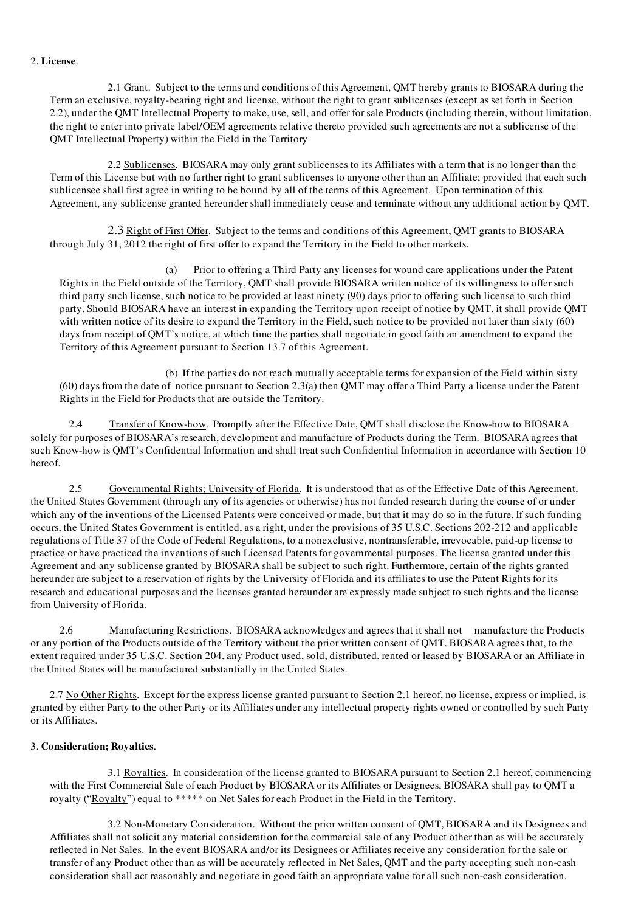## 2. License.

2.1 Grant. Subject to the terms and conditions of this Agreement, QMT hereby grants to BIOSARA during the Term an exclusive, royalty-bearing right and license, without the right to grant sublicenses (except as set forth in Section 2.2), under the QMT Intellectual Property to make, use, sell, and offer for sale Products (including therein, without limitation, the right to enter into private label/OEM agreements relative thereto provided such agreements are not a sublicense of the QMT Intellectual Property) within the Field in the Territory

2.2 Sublicenses. BIOSARA may only grant sublicenses to its Affiliates with a term that is no longer than the Term of this License but with no further right to grant sublicenses to anyone other than an Affiliate; provided that each such sublicensee shall first agree in writing to be bound by all of the terms of this Agreement. Upon termination of this Agreement, any sublicense granted hereunder shall immediately cease and terminate without any additional action by QMT.

2.3 Right of First Offer. Subject to the terms and conditions of this Agreement, QMT grants to BIOSARA through July 31, 2012 the right of first offer to expand the Territory in the Field to other markets.

(a) Prior to offering a Third Party any licenses for wound care applications under the Patent Rights in the Field outside of the Territory, QMT shall provide BIOSARA written notice of its willingness to offer such third party such license, such notice to be provided at least ninety (90) days prior to offering such license to such third party. Should BIOSARA have an interest in expanding the Territory upon receipt of notice by QMT, it shall provide QMT with written notice of its desire to expand the Territory in the Field, such notice to be provided not later than sixty (60) days from receipt of QMT's notice, at which time the parties shall negotiate in good faith an amendment to expand the Territory of this Agreement pursuant to Section 13.7 of this Agreement.

(b) If the parties do not reach mutually acceptable terms for expansion of the Field within sixty (60) days from the date of notice pursuant to Section 2.3(a) then QMT may offer a Third Party a license under the Patent Rights in the Field for Products that are outside the Territory.

2.4 Transfer of Know-how. Promptly after the Effective Date, QMT shall disclose the Know-how to BIOSARA solely for purposes of BIOSARA's research, development and manufacture of Products during the Term. BIOSARA agrees that such Know-how is QMT's Confidential Information and shall treat such Confidential Information in accordance with Section 10 hereof.

2.5 Governmental Rights; University of Florida. It is understood that as of the Effective Date of this Agreement, the United States Government (through any of its agencies or otherwise) has not funded research during the course of or under which any of the inventions of the Licensed Patents were conceived or made, but that it may do so in the future. If such funding occurs, the United States Government is entitled, as a right, under the provisions of 35 U.S.C. Sections 202-212 and applicable regulations of Title 37 of the Code of Federal Regulations, to a nonexclusive, nontransferable, irrevocable, paid-up license to practice or have practiced the inventions of such Licensed Patents for governmental purposes. The license granted under this Agreement and any sublicense granted by BIOSARA shall be subject to such right. Furthermore, certain of the rights granted hereunder are subject to a reservation of rights by the University of Florida and its affiliates to use the Patent Rights for its research and educational purposes and the licenses granted hereunder are expressly made subject to such rights and the license from University of Florida.

2.6 Manufacturing Restrictions. BIOSARA acknowledges and agrees that it shall not manufacture the Products or any portion of the Products outside of the Territory without the prior written consent of QMT. BIOSARA agrees that, to the extent required under 35 U.S.C. Section 204, any Product used, sold, distributed, rented or leased by BIOSARA or an Affiliate in the United States will be manufactured substantially in the United States.

2.7 No Other Rights. Except for the express license granted pursuant to Section 2.1 hereof, no license, express or implied, is granted by either Party to the other Party or its Affiliates under any intellectual property rights owned or controlled by such Party or its Affiliates.

### 3. Consideration; Royalties.

3.1 Royalties. In consideration of the license granted to BIOSARA pursuant to Section 2.1 hereof, commencing with the First Commercial Sale of each Product by BIOSARA or its Affiliates or Designees, BIOSARA shall pay to QMT a royalty ("Royalty") equal to \*\*\*\*\* on Net Sales for each Product in the Field in the Territory.

3.2 Non-Monetary Consideration. Without the prior written consent of QMT, BIOSARA and its Designees and Affiliates shall not solicit any material consideration for the commercial sale of any Product other than as will be accurately reflected in Net Sales. In the event BIOSARA and/or its Designees or Affiliates receive any consideration for the sale or transfer of any Product other than as will be accurately reflected in Net Sales, QMT and the party accepting such non-cash consideration shall act reasonably and negotiate in good faith an appropriate value for all such non-cash consideration.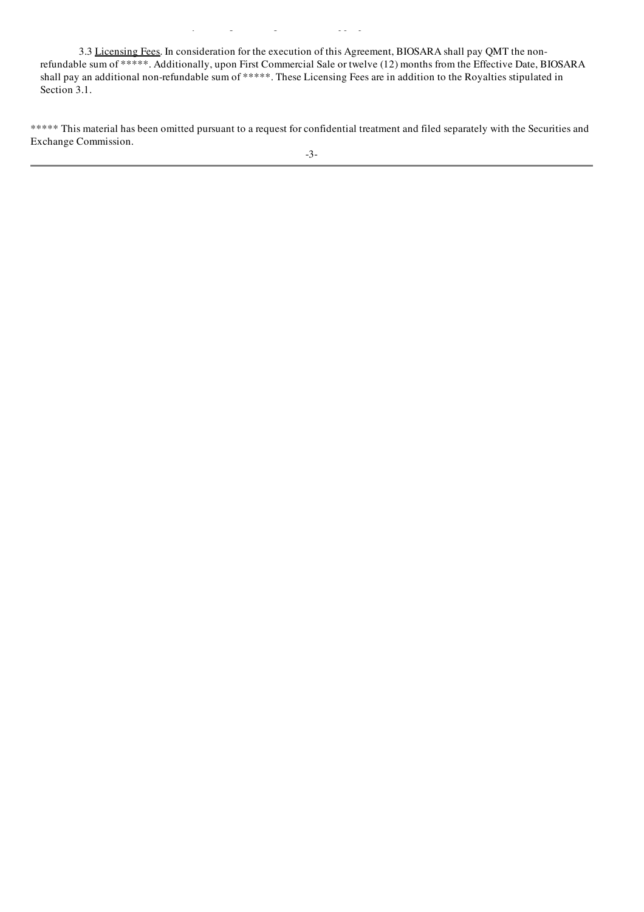3.3 Licensing Fees. In consideration for the execution of this Agreement, BIOSARA shall pay QMT the nonrefundable sum of \*\*\*\*\*. Additionally, upon First Commercial Sale or twelve (12) months from the Effective Date, BIOSARA shall pay an additional non-refundable sum of \*\*\*\*\*. These Licensing Fees are in addition to the Royalties stipulated in Section 3.1.

consideration shall act reasonably and negotiate in good faith an appropriate value for all such non-cash consideration.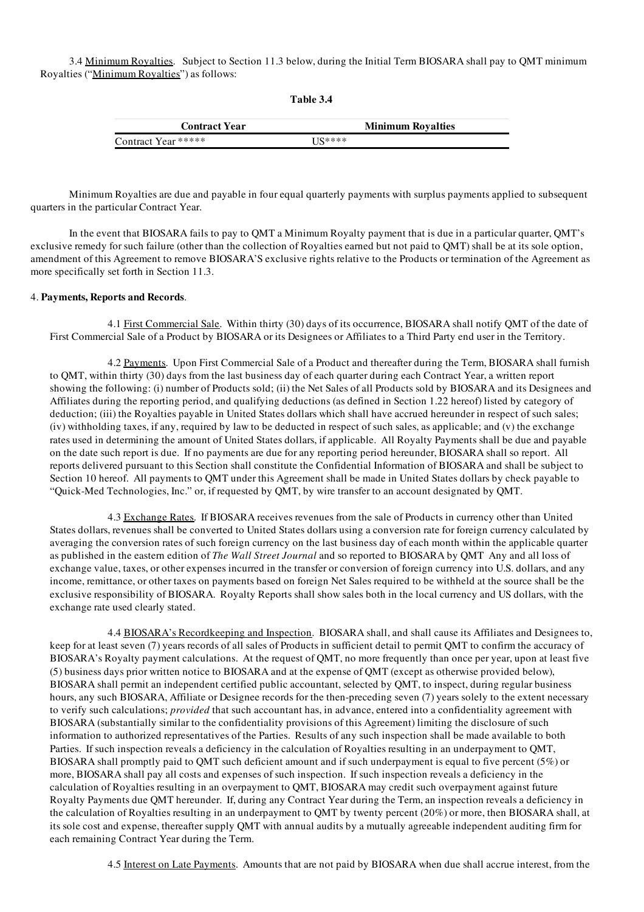3.4 Minimum Royalties. Subject to Section 11.3 below, during the Initial Term BIOSARA shall pay to QMT minimum Royalties ("Minimum Royalties") as follows:

| <b>Contract Year</b> | <b>Minimum Royalties</b> |  |  |
|----------------------|--------------------------|--|--|
| Contract Year *****  | $I.S*****$               |  |  |

Table 3.4

Minimum Royalties are due and payable in four equal quarterly payments with surplus payments applied to subsequent quarters in the particular Contract Year.

In the event that BIOSARA fails to pay to QMT a Minimum Royalty payment that is due in a particular quarter, QMT's exclusive remedy for such failure (other than the collection of Royalties earned but not paid to QMT) shall be at its sole option, amendment of this Agreement to remove BIOSARA'S exclusive rights relative to the Products or termination of the Agreement as more specifically set forth in Section 11.3.

#### 4. Payments, Reports and Records.

4.1 First Commercial Sale. Within thirty (30) days of its occurrence, BIOSARA shall notify QMT of the date of First Commercial Sale of a Product by BIOSARA or its Designees or Affiliates to a Third Party end user in the Territory.

4.2 Payments. Upon First Commercial Sale of a Product and thereafter during the Term, BIOSARA shall furnish to QMT, within thirty (30) days from the last business day of each quarter during each Contract Year, a written report showing the following: (i) number of Products sold; (ii) the Net Sales of all Products sold by BIOSARA and its Designees and Affiliates during the reporting period, and qualifying deductions (as defined in Section 1.22 hereof) listed by category of deduction; (iii) the Royalties payable in United States dollars which shall have accrued hereunder in respect of such sales; (iv) withholding taxes, if any, required by law to be deducted in respect of such sales, as applicable; and (v) the exchange rates used in determining the amount of United States dollars, if applicable. All Royalty Payments shall be due and payable on the date such report is due. If no payments are due for any reporting period hereunder, BIOSARA shall so report. All reports delivered pursuant to this Section shall constitute the Confidential Information of BIOSARA and shall be subject to Section 10 hereof. All payments to QMT under this Agreement shall be made in United States dollars by check payable to "Quick-Med Technologies, Inc." or, if requested by QMT, by wire transfer to an account designated by QMT.

4.3 Exchange Rates. If BIOSARA receives revenues from the sale of Products in currency other than United States dollars, revenues shall be converted to United States dollars using a conversion rate for foreign currency calculated by averaging the conversion rates of such foreign currency on the last business day of each month within the applicable quarter as published in the eastern edition of *The Wall Street Journal* and so reported to BIOSARA by QMT Any and all loss of exchange value, taxes, or other expenses incurred in the transfer or conversion of foreign currency into U.S. dollars, and any income, remittance, or other taxes on payments based on foreign Net Sales required to be withheld at the source shall be the exclusive responsibility of BIOSARA. Royalty Reports shall show sales both in the local currency and US dollars, with the exchange rate used clearly stated.

4.4 BIOSARA's Recordkeeping and Inspection. BIOSARA shall, and shall cause its Affiliates and Designees to, keep for at least seven (7) years records of all sales of Products in sufficient detail to permit QMT to confirm the accuracy of BIOSARA's Royalty payment calculations. At the request of QMT, no more frequently than once per year, upon at least five (5) business days prior written notice to BIOSARA and at the expense of QMT (except as otherwise provided below), BIOSARA shall permit an independent certified public accountant, selected by QMT, to inspect, during regular business hours, any such BIOSARA, Affiliate or Designee records for the then-preceding seven (7) years solely to the extent necessary to verify such calculations; *provided* that such accountant has, in advance, entered into a confidentiality agreement with BIOSARA (substantially similar to the confidentiality provisions of this Agreement) limiting the disclosure of such information to authorized representatives of the Parties. Results of any such inspection shall be made available to both Parties. If such inspection reveals a deficiency in the calculation of Royalties resulting in an underpayment to QMT, BIOSARA shall promptly paid to QMT such deficient amount and if such underpayment is equal to five percent (5%) or more, BIOSARA shall pay all costs and expenses of such inspection. If such inspection reveals a deficiency in the calculation of Royalties resulting in an overpayment to QMT, BIOSARA may credit such overpayment against future Royalty Payments due QMT hereunder. If, during any Contract Year during the Term, an inspection reveals a deficiency in the calculation of Royalties resulting in an underpayment to QMT by twenty percent (20%) or more, then BIOSARA shall, at its sole cost and expense, thereafter supply QMT with annual audits by a mutually agreeable independent auditing firm for each remaining Contract Year during the Term.

4.5 Interest on Late Payments. Amounts that are not paid by BIOSARA when due shall accrue interest, from the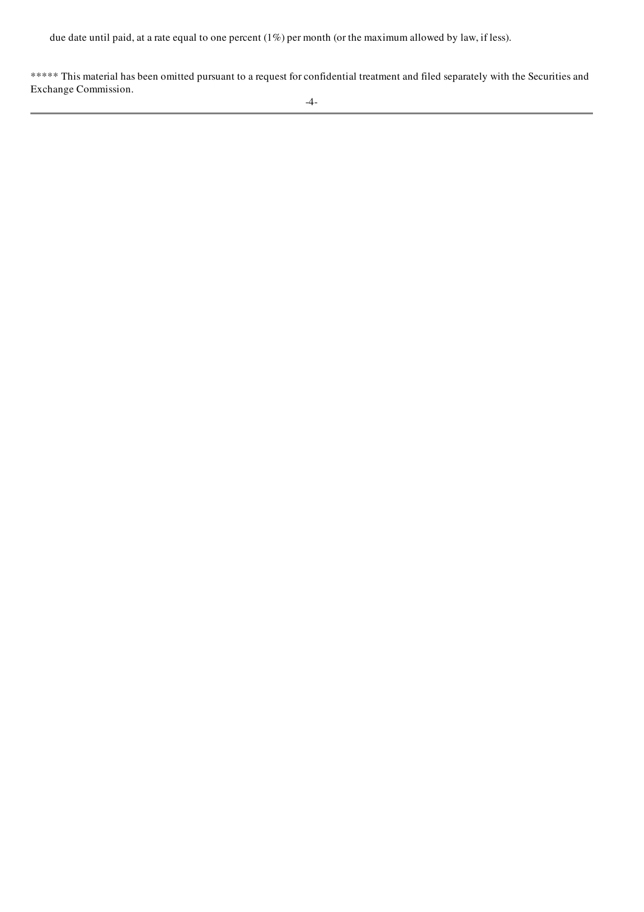due date until paid, at a rate equal to one percent (1%) per month (or the maximum allowed by law, if less).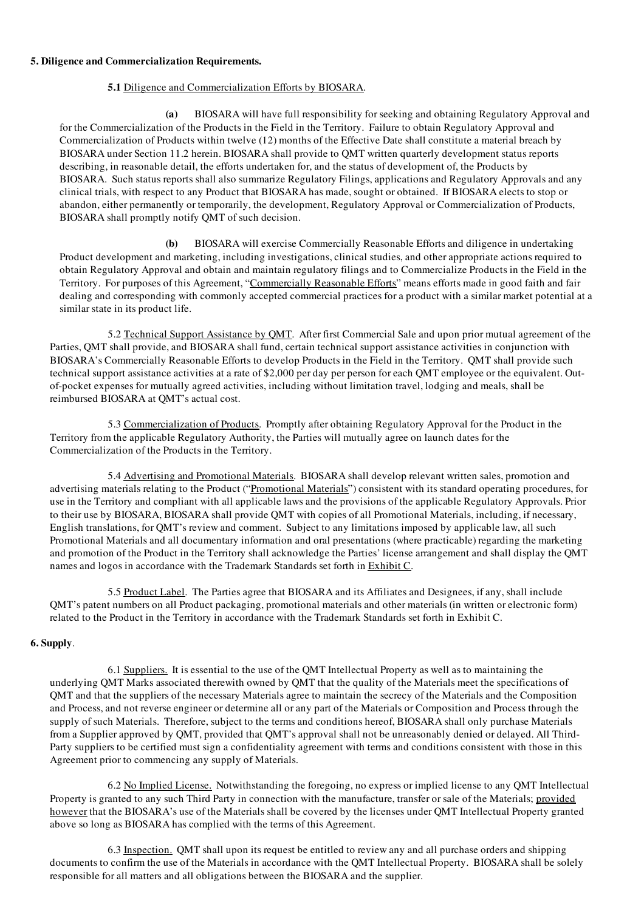#### 5. Diligence and Commercialization Requirements.

## 5.1 Diligence and Commercialization Efforts by BIOSARA.

(a) BIOSARA will have full responsibility for seeking and obtaining Regulatory Approval and for the Commercialization of the Products in the Field in the Territory. Failure to obtain Regulatory Approval and Commercialization of Products within twelve (12) months of the Effective Date shall constitute a material breach by BIOSARA under Section 11.2 herein. BIOSARA shall provide to QMT written quarterly development status reports describing, in reasonable detail, the efforts undertaken for, and the status of development of, the Products by BIOSARA. Such status reports shall also summarize Regulatory Filings, applications and Regulatory Approvals and any clinical trials, with respect to any Product that BIOSARA has made, sought or obtained. If BIOSARA elects to stop or abandon, either permanently or temporarily, the development, Regulatory Approval or Commercialization of Products, BIOSARA shall promptly notify QMT of such decision.

(b) BIOSARA will exercise Commercially Reasonable Efforts and diligence in undertaking Product development and marketing, including investigations, clinical studies, and other appropriate actions required to obtain Regulatory Approval and obtain and maintain regulatory filings and to Commercialize Products in the Field in the Territory. For purposes of this Agreement, "Commercially Reasonable Efforts" means efforts made in good faith and fair dealing and corresponding with commonly accepted commercial practices for a product with a similar market potential at a similar state in its product life.

5.2 Technical Support Assistance by QMT. After first Commercial Sale and upon prior mutual agreement of the Parties, QMT shall provide, and BIOSARA shall fund, certain technical support assistance activities in conjunction with BIOSARA's Commercially Reasonable Efforts to develop Products in the Field in the Territory. QMT shall provide such technical support assistance activities at a rate of \$2,000 per day per person for each QMT employee or the equivalent. Outof-pocket expenses for mutually agreed activities, including without limitation travel, lodging and meals, shall be reimbursed BIOSARA at QMT's actual cost.

5.3 Commercialization of Products. Promptly after obtaining Regulatory Approval for the Product in the Territory from the applicable Regulatory Authority, the Parties will mutually agree on launch dates for the Commercialization of the Products in the Territory.

5.4 Advertising and Promotional Materials. BIOSARA shall develop relevant written sales, promotion and advertising materials relating to the Product ("Promotional Materials") consistent with its standard operating procedures, for use in the Territory and compliant with all applicable laws and the provisions of the applicable Regulatory Approvals. Prior to their use by BIOSARA, BIOSARA shall provide QMT with copies of all Promotional Materials, including, if necessary, English translations, for QMT's review and comment. Subject to any limitations imposed by applicable law, all such Promotional Materials and all documentary information and oral presentations (where practicable) regarding the marketing and promotion of the Product in the Territory shall acknowledge the Parties' license arrangement and shall display the QMT names and logos in accordance with the Trademark Standards set forth in Exhibit C.

5.5 Product Label. The Parties agree that BIOSARA and its Affiliates and Designees, if any, shall include QMT's patent numbers on all Product packaging, promotional materials and other materials (in written or electronic form) related to the Product in the Territory in accordance with the Trademark Standards set forth in Exhibit C.

## 6. Supply.

6.1 Suppliers. It is essential to the use of the QMT Intellectual Property as well as to maintaining the underlying QMT Marks associated therewith owned by QMT that the quality of the Materials meet the specifications of QMT and that the suppliers of the necessary Materials agree to maintain the secrecy of the Materials and the Composition and Process, and not reverse engineer or determine all or any part of the Materials or Composition and Process through the supply of such Materials. Therefore, subject to the terms and conditions hereof. BIOSARA shall only purchase Materials from a Supplier approved by QMT, provided that QMT's approval shall not be unreasonably denied or delayed. All Third-Party suppliers to be certified must sign a confidentiality agreement with terms and conditions consistent with those in this Agreement prior to commencing any supply of Materials.

6.2 No Implied License. Notwithstanding the foregoing, no express or implied license to any QMT Intellectual Property is granted to any such Third Party in connection with the manufacture, transfer or sale of the Materials; provided however that the BIOSARA's use of the Materials shall be covered by the licenses under QMT Intellectual Property granted above so long as BIOSARA has complied with the terms of this Agreement.

6.3 Inspection. QMT shall upon its request be entitled to review any and all purchase orders and shipping documents to confirm the use of the Materials in accordance with the QMT Intellectual Property. BIOSARA shall be solely responsible for all matters and all obligations between the BIOSARA and the supplier.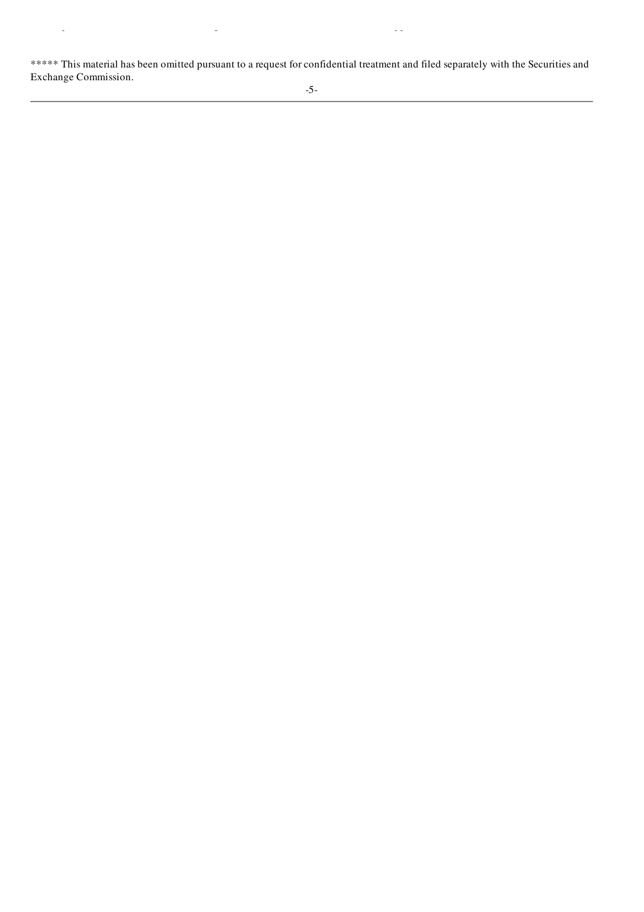\*\*\*\*\* This material has been omitted pursuant to a request for confidential treatment and filed separately with the Securities and Exchange Commission.

responsible for all matters and all obligations between the BIOSARA and the supplier.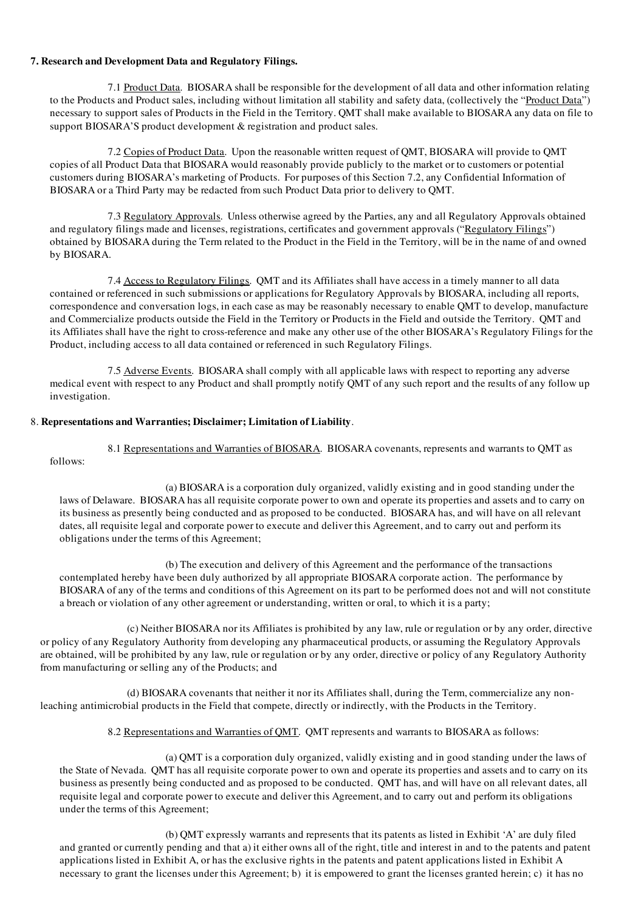## 7. Research and Development Data and Regulatory Filings.

7.1 Product Data. BIOSARA shall be responsible for the development of all data and other information relating to the Products and Product sales, including without limitation all stability and safety data, (collectively the "Product Data") necessary to support sales of Products in the Field in the Territory. QMT shall make available to BIOSARA any data on file to support BIOSARA'S product development & registration and product sales.

7.2 Copies of Product Data. Upon the reasonable written request of QMT, BIOSARA will provide to QMT copies of all Product Data that BIOSARA would reasonably provide publicly to the market or to customers or potential customers during BIOSARA's marketing of Products. For purposes of this Section 7.2, any Confidential Information of BIOSARA or a Third Party may be redacted from such Product Data prior to delivery to QMT.

7.3 Regulatory Approvals. Unless otherwise agreed by the Parties, any and all Regulatory Approvals obtained and regulatory filings made and licenses, registrations, certificates and government approvals ("Regulatory Filings") obtained by BIOSARA during the Term related to the Product in the Field in the Territory, will be in the name of and owned by BIOSARA.

7.4 Access to Regulatory Filings. QMT and its Affiliates shall have access in a timely manner to all data contained or referenced in such submissions or applications for Regulatory Approvals by BIOSARA, including all reports, correspondence and conversation logs, in each case as may be reasonably necessary to enable QMT to develop, manufacture and Commercialize products outside the Field in the Territory or Products in the Field and outside the Territory. QMT and its Affiliates shall have the right to cross-reference and make any other use of the other BIOSARA's Regulatory Filings for the Product, including access to all data contained or referenced in such Regulatory Filings.

7.5 Adverse Events. BIOSARA shall comply with all applicable laws with respect to reporting any adverse medical event with respect to any Product and shall promptly notify QMT of any such report and the results of any follow up investigation.

## 8. Representations and Warranties; Disclaimer; Limitation of Liability.

8.1 Representations and Warranties of BIOSARA. BIOSARA covenants, represents and warrants to QMT as follows:

(a) BIOSARA is a corporation duly organized, validly existing and in good standing under the laws of Delaware. BIOSARA has all requisite corporate power to own and operate its properties and assets and to carry on its business as presently being conducted and as proposed to be conducted. BIOSARA has, and will have on all relevant dates, all requisite legal and corporate power to execute and deliver this Agreement, and to carry out and perform its obligations under the terms of this Agreement;

(b) The execution and delivery of this Agreement and the performance of the transactions contemplated hereby have been duly authorized by all appropriate BIOSARA corporate action. The performance by BIOSARA of any of the terms and conditions of this Agreement on its part to be performed does not and will not constitute a breach or violation of any other agreement or understanding, written or oral, to which it is a party;

(c) Neither BIOSARA nor its Affiliates is prohibited by any law, rule or regulation or by any order, directive or policy of any Regulatory Authority from developing any pharmaceutical products, or assuming the Regulatory Approvals are obtained, will be prohibited by any law, rule or regulation or by any order, directive or policy of any Regulatory Authority from manufacturing or selling any of the Products; and

(d) BIOSARA covenants that neither it nor its Affiliates shall, during the Term, commercialize any nonleaching antimicrobial products in the Field that compete, directly or indirectly, with the Products in the Territory.

8.2 Representations and Warranties of QMT. QMT represents and warrants to BIOSARA as follows:

(a) QMT is a corporation duly organized, validly existing and in good standing under the laws of the State of Nevada. QMT has all requisite corporate power to own and operate its properties and assets and to carry on its business as presently being conducted and as proposed to be conducted. QMT has, and will have on all relevant dates, all requisite legal and corporate power to execute and deliver this Agreement, and to carry out and perform its obligations under the terms of this Agreement;

(b) QMT expressly warrants and represents that its patents as listed in Exhibit 'A' are duly filed and granted or currently pending and that a) it either owns all of the right, title and interest in and to the patents and patent applications listed in Exhibit A, or has the exclusive rights in the patents and patent applications listed in Exhibit A necessary to grant the licenses under this Agreement; b) it is empowered to grant the licenses granted herein; c) it has no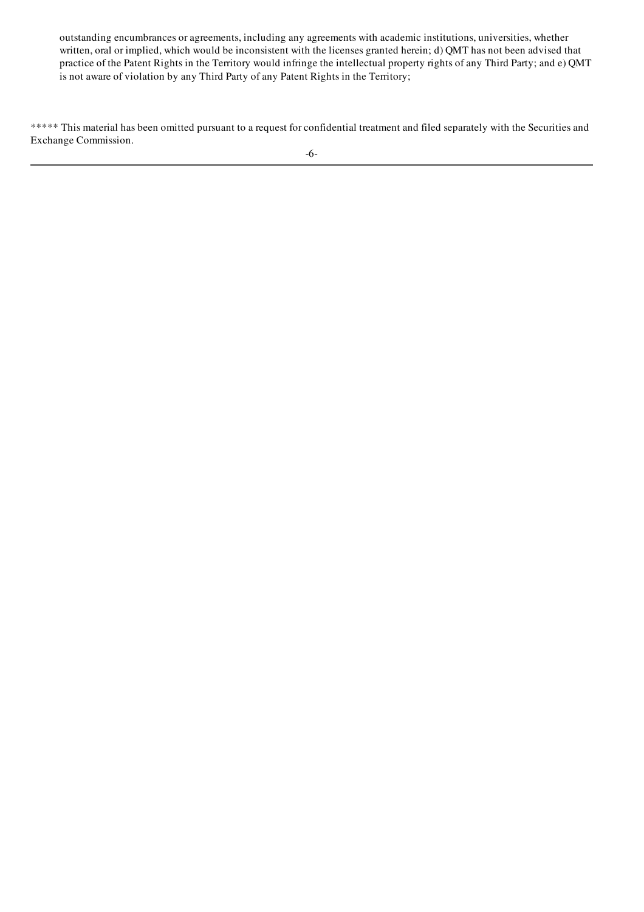outstanding encumbrances or agreements, including any agreements with academic institutions, universities, whether written, oral or implied, which would be inconsistent with the licenses granted herein; d) QMT has not been advised that practice of the Patent Rights in the Territory would infringe the intellectual property rights of any Third Party; and e) QMT is not aware of violation by any Third Party of any Patent Rights in the Territory;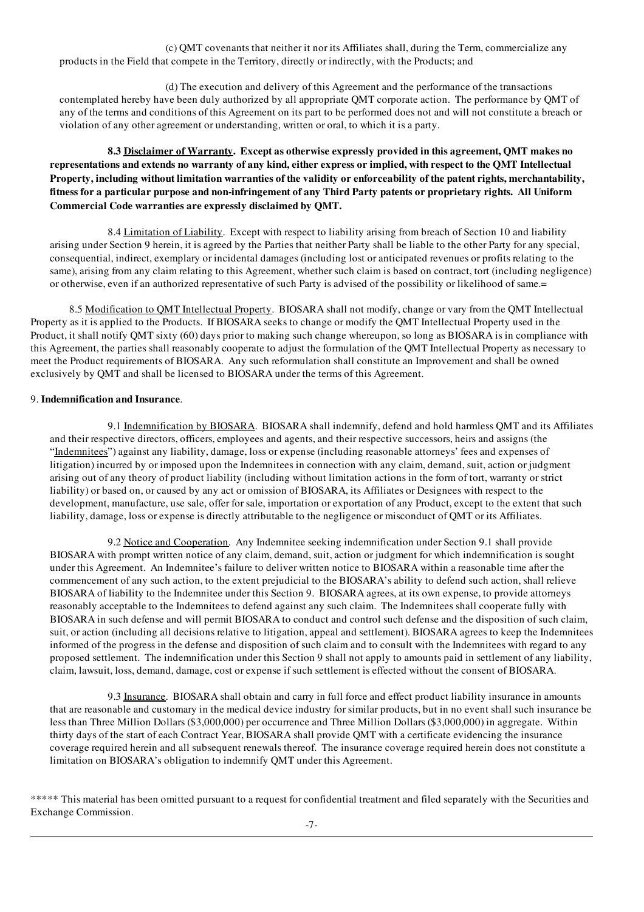(c) QMT covenants that neither it nor its Affiliates shall, during the Term, commercialize any products in the Field that compete in the Territory, directly or indirectly, with the Products; and

(d) The execution and delivery of this Agreement and the performance of the transactions contemplated hereby have been duly authorized by all appropriate QMT corporate action. The performance by QMT of any of the terms and conditions of this Agreement on its part to be performed does not and will not constitute a breach or violation of any other agreement or understanding, written or oral, to which it is a party.

## 8.3 Disclaimer of Warranty. Except as otherwise expressly provided in this agreement, QMT makes no representations and extends no warranty of any kind, either express or implied, with respect to the QMT Intellectual Property, including without limitation warranties of the validity or enforceability of the patent rights, merchantability, fitness for a particular purpose and non-infringement of any Third Party patents or proprietary rights. All Uniform Commercial Code warranties are expressly disclaimed by QMT.

8.4 Limitation of Liability. Except with respect to liability arising from breach of Section 10 and liability arising under Section 9 herein, it is agreed by the Parties that neither Party shall be liable to the other Party for any special, consequential, indirect, exemplary or incidental damages (including lost or anticipated revenues or profits relating to the same), arising from any claim relating to this Agreement, whether such claim is based on contract, tort (including negligence) or otherwise, even if an authorized representative of such Party is advised of the possibility or likelihood of same.=

8.5 Modification to QMT Intellectual Property. BIOSARA shall not modify, change or vary from the QMT Intellectual Property as it is applied to the Products. If BIOSARA seeks to change or modify the QMT Intellectual Property used in the Product, it shall notify QMT sixty (60) days prior to making such change whereupon, so long as BIOSARA is in compliance with this Agreement, the parties shall reasonably cooperate to adjust the formulation of the QMT Intellectual Property as necessary to meet the Product requirements of BIOSARA. Any such reformulation shall constitute an Improvement and shall be owned exclusively by QMT and shall be licensed to BIOSARA under the terms of this Agreement.

## 9. Indemnification and Insurance.

9.1 Indemnification by BIOSARA. BIOSARA shall indemnify, defend and hold harmless QMT and its Affiliates and their respective directors, officers, employees and agents, and their respective successors, heirs and assigns (the "Indemnitees") against any liability, damage, loss or expense (including reasonable attorneys' fees and expenses of litigation) incurred by or imposed upon the Indemnitees in connection with any claim, demand, suit, action or judgment arising out of any theory of product liability (including without limitation actions in the form of tort, warranty or strict liability) or based on, or caused by any act or omission of BIOSARA, its Affiliates or Designees with respect to the development, manufacture, use sale, offer for sale, importation or exportation of any Product, except to the extent that such liability, damage, loss or expense is directly attributable to the negligence or misconduct of QMT or its Affiliates.

9.2 Notice and Cooperation. Any Indemnitee seeking indemnification under Section 9.1 shall provide BIOSARA with prompt written notice of any claim, demand, suit, action or judgment for which indemnification is sought under this Agreement. An Indemnitee's failure to deliver written notice to BIOSARA within a reasonable time after the commencement of any such action, to the extent prejudicial to the BIOSARA's ability to defend such action, shall relieve BIOSARA of liability to the Indemnitee under this Section 9. BIOSARA agrees, at its own expense, to provide attorneys reasonably acceptable to the Indemnitees to defend against any such claim. The Indemnitees shall cooperate fully with BIOSARA in such defense and will permit BIOSARA to conduct and control such defense and the disposition of such claim, suit, or action (including all decisions relative to litigation, appeal and settlement). BIOSARA agrees to keep the Indemnitees informed of the progress in the defense and disposition of such claim and to consult with the Indemnitees with regard to any proposed settlement. The indemnification under this Section 9 shall not apply to amounts paid in settlement of any liability, claim, lawsuit, loss, demand, damage, cost or expense if such settlement is effected without the consent of BIOSARA.

9.3 Insurance. BIOSARA shall obtain and carry in full force and effect product liability insurance in amounts that are reasonable and customary in the medical device industry for similar products, but in no event shall such insurance be less than Three Million Dollars (\$3,000,000) per occurrence and Three Million Dollars (\$3,000,000) in aggregate. Within thirty days of the start of each Contract Year, BIOSARA shall provide QMT with a certificate evidencing the insurance coverage required herein and all subsequent renewals thereof. The insurance coverage required herein does not constitute a limitation on BIOSARA's obligation to indemnify QMT under this Agreement.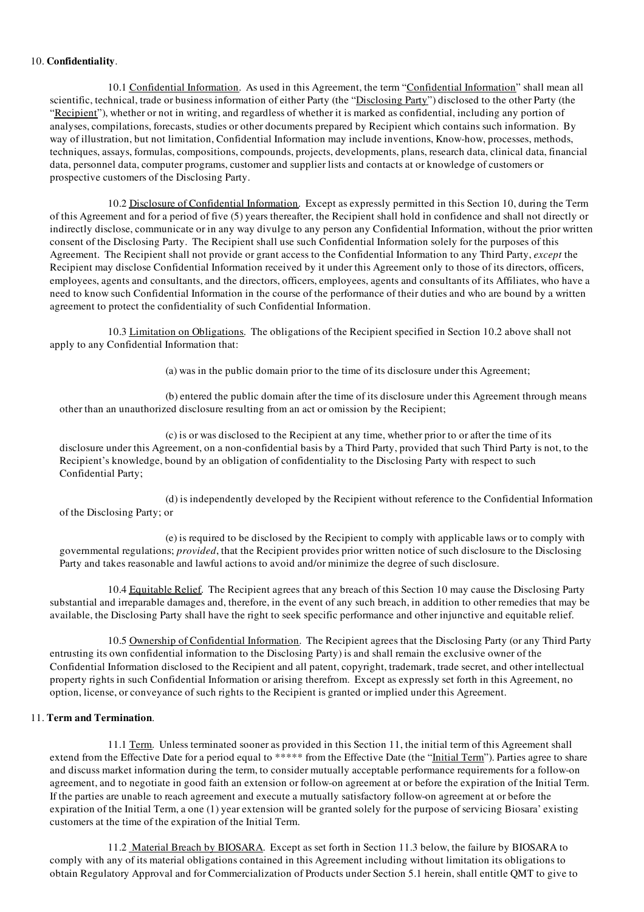#### 10. Confidentiality.

10.1 Confidential Information. As used in this Agreement, the term "Confidential Information" shall mean all scientific, technical, trade or business information of either Party (the "Disclosing Party") disclosed to the other Party (the "Recipient"), whether or not in writing, and regardless of whether it is marked as confidential, including any portion of analyses, compilations, forecasts, studies or other documents prepared by Recipient which contains such information. By way of illustration, but not limitation, Confidential Information may include inventions, Know-how, processes, methods, techniques, assays, formulas, compositions, compounds, projects, developments, plans, research data, clinical data, financial data, personnel data, computer programs, customer and supplier lists and contacts at or knowledge of customers or prospective customers of the Disclosing Party.

10.2 Disclosure of Confidential Information. Except as expressly permitted in this Section 10, during the Term of this Agreement and for a period of five (5) years thereafter, the Recipient shall hold in confidence and shall not directly or indirectly disclose, communicate or in any way divulge to any person any Confidential Information, without the prior written consent of the Disclosing Party. The Recipient shall use such Confidential Information solely for the purposes of this Agreement. The Recipient shall not provide or grant access to the Confidential Information to any Third Party, *except* the Recipient may disclose Confidential Information received by it under this Agreement only to those of its directors, officers, employees, agents and consultants, and the directors, officers, employees, agents and consultants of its Affiliates, who have a need to know such Confidential Information in the course of the performance of their duties and who are bound by a written agreement to protect the confidentiality of such Confidential Information.

10.3 Limitation on Obligations. The obligations of the Recipient specified in Section 10.2 above shall not apply to any Confidential Information that:

(a) was in the public domain prior to the time of its disclosure under this Agreement;

(b) entered the public domain after the time of its disclosure under this Agreement through means other than an unauthorized disclosure resulting from an act or omission by the Recipient;

(c) is or was disclosed to the Recipient at any time, whether prior to or after the time of its disclosure under this Agreement, on a non-confidential basis by a Third Party, provided that such Third Party is not, to the Recipient's knowledge, bound by an obligation of confidentiality to the Disclosing Party with respect to such Confidential Party;

(d) is independently developed by the Recipient without reference to the Confidential Information of the Disclosing Party; or

(e) is required to be disclosed by the Recipient to comply with applicable laws or to comply with governmental regulations; *provided*, that the Recipient provides prior written notice of such disclosure to the Disclosing Party and takes reasonable and lawful actions to avoid and/or minimize the degree of such disclosure.

10.4 Equitable Relief. The Recipient agrees that any breach of this Section 10 may cause the Disclosing Party substantial and irreparable damages and, therefore, in the event of any such breach, in addition to other remedies that may be available, the Disclosing Party shall have the right to seek specific performance and other injunctive and equitable relief.

10.5 Ownership of Confidential Information. The Recipient agrees that the Disclosing Party (or any Third Party entrusting its own confidential information to the Disclosing Party) is and shall remain the exclusive owner of the Confidential Information disclosed to the Recipient and all patent, copyright, trademark, trade secret, and other intellectual property rights in such Confidential Information or arising therefrom. Except as expressly set forth in this Agreement, no option, license, or conveyance of such rights to the Recipient is granted or implied under this Agreement.

## 11. Term and Termination.

11.1 Term. Unless terminated sooner as provided in this Section 11, the initial term of this Agreement shall extend from the Effective Date for a period equal to \*\*\*\*\* from the Effective Date (the "Initial Term"). Parties agree to share and discuss market information during the term, to consider mutually acceptable performance requirements for a follow-on agreement, and to negotiate in good faith an extension or follow-on agreement at or before the expiration of the Initial Term. If the parties are unable to reach agreement and execute a mutually satisfactory follow-on agreement at or before the expiration of the Initial Term, a one (1) year extension will be granted solely for the purpose of servicing Biosara' existing customers at the time of the expiration of the Initial Term.

11.2 Material Breach by BIOSARA. Except as set forth in Section 11.3 below, the failure by BIOSARA to comply with any of its material obligations contained in this Agreement including without limitation its obligations to obtain Regulatory Approval and for Commercialization of Products under Section 5.1 herein, shall entitle QMT to give to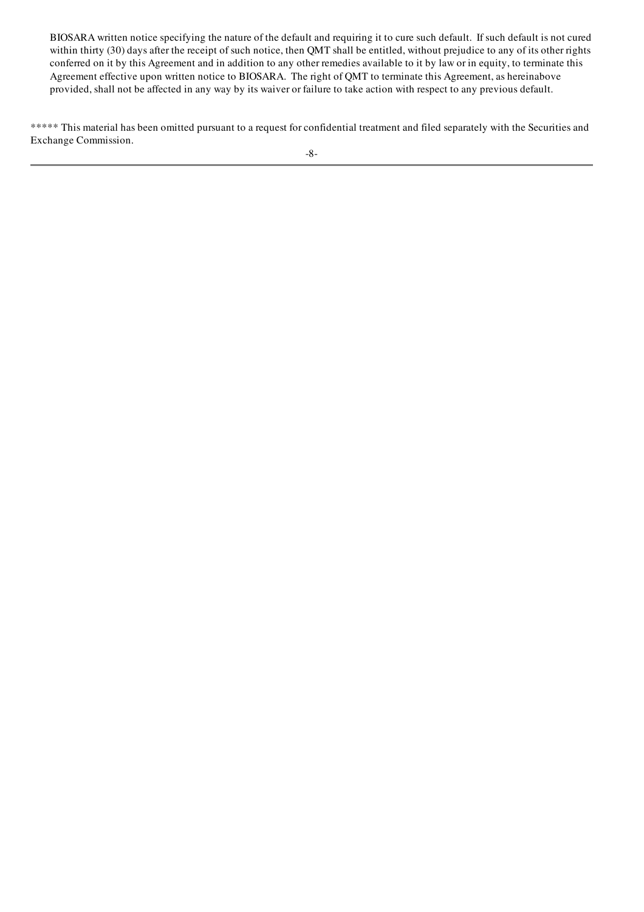BIOSARA written notice specifying the nature of the default and requiring it to cure such default. If such default is not cured within thirty (30) days after the receipt of such notice, then QMT shall be entitled, without prejudice to any of its other rights conferred on it by this Agreement and in addition to any other remedies available to it by law or in equity, to terminate this Agreement effective upon written notice to BIOSARA. The right of QMT to terminate this Agreement, as hereinabove provided, shall not be affected in any way by its waiver or failure to take action with respect to any previous default.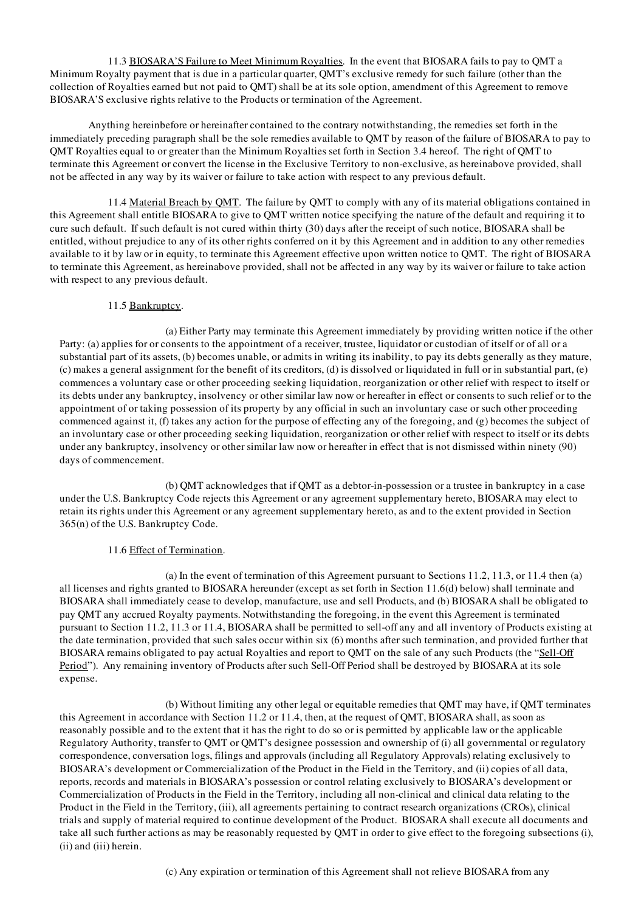11.3 BIOSARA'S Failure to Meet Minimum Royalties. In the event that BIOSARA fails to pay to QMT a Minimum Royalty payment that is due in a particular quarter, QMT's exclusive remedy for such failure (other than the collection of Royalties earned but not paid to QMT) shall be at its sole option, amendment of this Agreement to remove BIOSARA'S exclusive rights relative to the Products or termination of the Agreement.

Anything hereinbefore or hereinafter contained to the contrary notwithstanding, the remedies set forth in the immediately preceding paragraph shall be the sole remedies available to QMT by reason of the failure of BIOSARA to pay to QMT Royalties equal to or greater than the Minimum Royalties set forth in Section 3.4 hereof. The right of QMT to terminate this Agreement or convert the license in the Exclusive Territory to non-exclusive, as hereinabove provided, shall not be affected in any way by its waiver or failure to take action with respect to any previous default.

11.4 Material Breach by QMT. The failure by QMT to comply with any of its material obligations contained in this Agreement shall entitle BIOSARA to give to QMT written notice specifying the nature of the default and requiring it to cure such default. If such default is not cured within thirty (30) days after the receipt of such notice, BIOSARA shall be entitled, without prejudice to any of its other rights conferred on it by this Agreement and in addition to any other remedies available to it by law or in equity, to terminate this Agreement effective upon written notice to QMT. The right of BIOSARA to terminate this Agreement, as hereinabove provided, shall not be affected in any way by its waiver or failure to take action with respect to any previous default.

## 11.5 Bankruptcy.

(a) Either Party may terminate this Agreement immediately by providing written notice if the other Party: (a) applies for or consents to the appointment of a receiver, trustee, liquidator or custodian of itself or of all or a substantial part of its assets, (b) becomes unable, or admits in writing its inability, to pay its debts generally as they mature, (c) makes a general assignment for the benefit of its creditors, (d) is dissolved or liquidated in full or in substantial part, (e) commences a voluntary case or other proceeding seeking liquidation, reorganization or other relief with respect to itself or its debts under any bankruptcy, insolvency or other similar law now or hereafter in effect or consents to such relief or to the appointment of or taking possession of its property by any official in such an involuntary case or such other proceeding commenced against it, (f) takes any action for the purpose of effecting any of the foregoing, and (g) becomes the subject of an involuntary case or other proceeding seeking liquidation, reorganization or other relief with respect to itself or its debts under any bankruptcy, insolvency or other similar law now or hereafter in effect that is not dismissed within ninety (90) days of commencement.

(b) QMT acknowledges that if QMT as a debtor-in-possession or a trustee in bankruptcy in a case under the U.S. Bankruptcy Code rejects this Agreement or any agreement supplementary hereto, BIOSARA may elect to retain its rights under this Agreement or any agreement supplementary hereto, as and to the extent provided in Section 365(n) of the U.S. Bankruptcy Code.

## 11.6 Effect of Termination.

(a) In the event of termination of this Agreement pursuant to Sections 11.2, 11.3, or 11.4 then (a) all licenses and rights granted to BIOSARA hereunder (except as set forth in Section 11.6(d) below) shall terminate and BIOSARA shall immediately cease to develop, manufacture, use and sell Products, and (b) BIOSARA shall be obligated to pay QMT any accrued Royalty payments. Notwithstanding the foregoing, in the event this Agreement is terminated pursuant to Section 11.2, 11.3 or 11.4, BIOSARA shall be permitted to sell-off any and all inventory of Products existing at the date termination, provided that such sales occur within six (6) months after such termination, and provided further that BIOSARA remains obligated to pay actual Royalties and report to QMT on the sale of any such Products (the "Sell-Off Period"). Any remaining inventory of Products after such Sell-Off Period shall be destroyed by BIOSARA at its sole expense.

(b) Without limiting any other legal or equitable remedies that QMT may have, if QMT terminates this Agreement in accordance with Section 11.2 or 11.4, then, at the request of QMT, BIOSARA shall, as soon as reasonably possible and to the extent that it has the right to do so or is permitted by applicable law or the applicable Regulatory Authority, transfer to QMT or QMT's designee possession and ownership of (i) all governmental or regulatory correspondence, conversation logs, filings and approvals (including all Regulatory Approvals) relating exclusively to BIOSARA's development or Commercialization of the Product in the Field in the Territory, and (ii) copies of all data, reports, records and materials in BIOSARA's possession or control relating exclusively to BIOSARA's development or Commercialization of Products in the Field in the Territory, including all non-clinical and clinical data relating to the Product in the Field in the Territory, (iii), all agreements pertaining to contract research organizations (CROs), clinical trials and supply of material required to continue development of the Product. BIOSARA shall execute all documents and take all such further actions as may be reasonably requested by QMT in order to give effect to the foregoing subsections (i), (ii) and (iii) herein.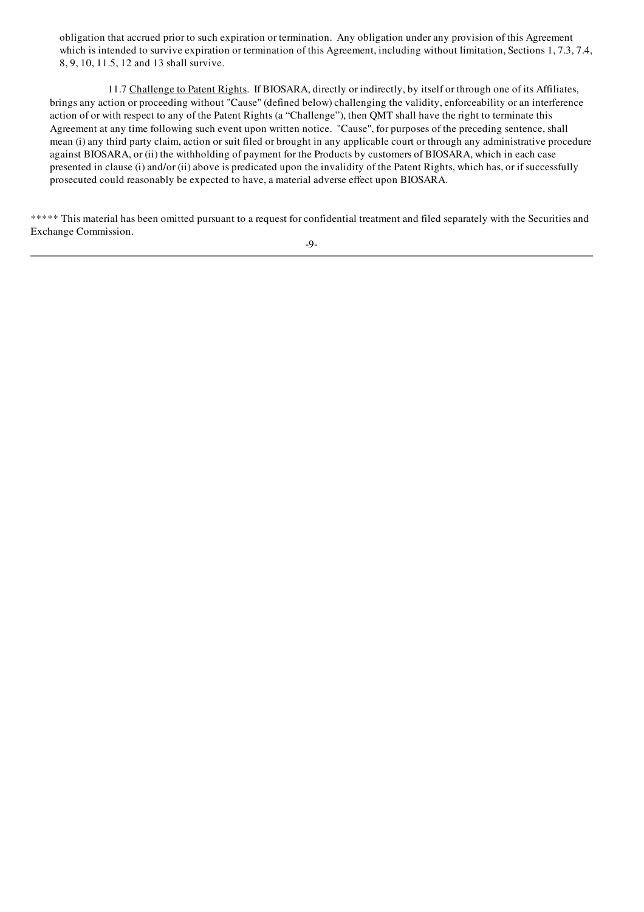obligation that accrued prior to such expiration or termination. Any obligation under any provision of this Agreement which is intended to survive expiration or termination of this Agreement, including without limitation, Sections 1, 7.3, 7.4, 8, 9, 10, 11.5, 12 and 13 shall survive.

11.7 Challenge to Patent Rights. If BIOSARA, directly or indirectly, by itself or through one of its Affiliates, brings any action or proceeding without "Cause" (defined below) challenging the validity, enforceability or an interference action of or with respect to any of the Patent Rights (a "Challenge"), then QMT shall have the right to terminate this Agreement at any time following such event upon written notice. "Cause", for purposes of the preceding sentence, shall mean (i) any third party claim, action or suit filed or brought in any applicable court or through any administrative procedure against BIOSARA, or (ii) the withholding of payment for the Products by customers of BIOSARA, which in each case presented in clause (i) and/or (ii) above is predicated upon the invalidity of the Patent Rights, which has, or if successfully prosecuted could reasonably be expected to have, a material adverse effect upon BIOSARA.

\*\*\*\*\* This material has been omitted pursuant to a request for confidential treatment and filed separately with the Securities and Exchange Commission.

-9-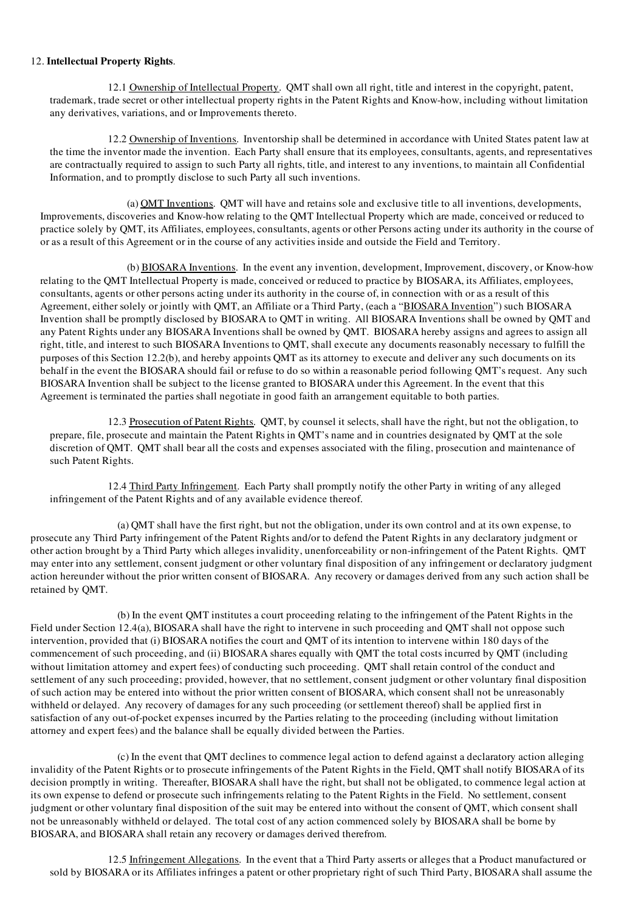#### 12. Intellectual Property Rights.

12.1 Ownership of Intellectual Property. QMT shall own all right, title and interest in the copyright, patent, trademark, trade secret or other intellectual property rights in the Patent Rights and Know-how, including without limitation any derivatives, variations, and or Improvements thereto.

12.2 Ownership of Inventions. Inventorship shall be determined in accordance with United States patent law at the time the inventor made the invention. Each Party shall ensure that its employees, consultants, agents, and representatives are contractually required to assign to such Party all rights, title, and interest to any inventions, to maintain all Confidential Information, and to promptly disclose to such Party all such inventions.

(a) QMT Inventions. QMT will have and retains sole and exclusive title to all inventions, developments, Improvements, discoveries and Know-how relating to the QMT Intellectual Property which are made, conceived or reduced to practice solely by QMT, its Affiliates, employees, consultants, agents or other Persons acting under its authority in the course of or as a result of this Agreement or in the course of any activities inside and outside the Field and Territory.

(b) BIOSARA Inventions. In the event any invention, development, Improvement, discovery, or Know-how relating to the QMT Intellectual Property is made, conceived or reduced to practice by BIOSARA, its Affiliates, employees, consultants, agents or other persons acting under its authority in the course of, in connection with or as a result of this Agreement, either solely or jointly with QMT, an Affiliate or a Third Party, (each a "BIOSARA Invention") such BIOSARA Invention shall be promptly disclosed by BIOSARA to QMT in writing. All BIOSARA Inventions shall be owned by QMT and any Patent Rights under any BIOSARA Inventions shall be owned by QMT. BIOSARA hereby assigns and agrees to assign all right, title, and interest to such BIOSARA Inventions to QMT, shall execute any documents reasonably necessary to fulfill the purposes of this Section 12.2(b), and hereby appoints QMT as its attorney to execute and deliver any such documents on its behalf in the event the BIOSARA should fail or refuse to do so within a reasonable period following QMT's request. Any such BIOSARA Invention shall be subject to the license granted to BIOSARA under this Agreement. In the event that this Agreement is terminated the parties shall negotiate in good faith an arrangement equitable to both parties.

12.3 Prosecution of Patent Rights. QMT, by counsel it selects, shall have the right, but not the obligation, to prepare, file, prosecute and maintain the Patent Rights in QMT's name and in countries designated by QMT at the sole discretion of QMT. QMT shall bear all the costs and expenses associated with the filing, prosecution and maintenance of such Patent Rights.

12.4 Third Party Infringement. Each Party shall promptly notify the other Party in writing of any alleged infringement of the Patent Rights and of any available evidence thereof.

(a) QMT shall have the first right, but not the obligation, under its own control and at its own expense, to prosecute any Third Party infringement of the Patent Rights and/or to defend the Patent Rights in any declaratory judgment or other action brought by a Third Party which alleges invalidity, unenforceability or non-infringement of the Patent Rights. QMT may enter into any settlement, consent judgment or other voluntary final disposition of any infringement or declaratory judgment action hereunder without the prior written consent of BIOSARA. Any recovery or damages derived from any such action shall be retained by QMT.

(b) In the event QMT institutes a court proceeding relating to the infringement of the Patent Rights in the Field under Section 12.4(a), BIOSARA shall have the right to intervene in such proceeding and QMT shall not oppose such intervention, provided that (i) BIOSARA notifies the court and QMT of its intention to intervene within 180 days of the commencement of such proceeding, and (ii) BIOSARA shares equally with QMT the total costs incurred by QMT (including without limitation attorney and expert fees) of conducting such proceeding. QMT shall retain control of the conduct and settlement of any such proceeding; provided, however, that no settlement, consent judgment or other voluntary final disposition of such action may be entered into without the prior written consent of BIOSARA, which consent shall not be unreasonably withheld or delayed. Any recovery of damages for any such proceeding (or settlement thereof) shall be applied first in satisfaction of any out-of-pocket expenses incurred by the Parties relating to the proceeding (including without limitation attorney and expert fees) and the balance shall be equally divided between the Parties.

(c) In the event that QMT declines to commence legal action to defend against a declaratory action alleging invalidity of the Patent Rights or to prosecute infringements of the Patent Rights in the Field, QMT shall notify BIOSARA of its decision promptly in writing. Thereafter, BIOSARA shall have the right, but shall not be obligated, to commence legal action at its own expense to defend or prosecute such infringements relating to the Patent Rights in the Field. No settlement, consent judgment or other voluntary final disposition of the suit may be entered into without the consent of QMT, which consent shall not be unreasonably withheld or delayed. The total cost of any action commenced solely by BIOSARA shall be borne by BIOSARA, and BIOSARA shall retain any recovery or damages derived therefrom.

12.5 Infringement Allegations. In the event that a Third Party asserts or alleges that a Product manufactured or sold by BIOSARA or its Affiliates infringes a patent or other proprietary right of such Third Party, BIOSARA shall assume the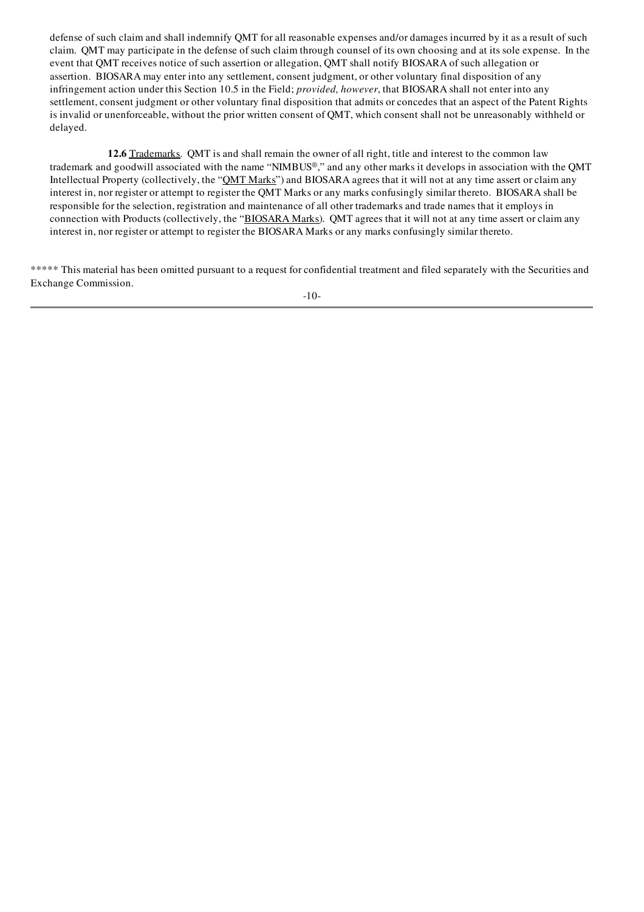defense of such claim and shall indemnify QMT for all reasonable expenses and/or damages incurred by it as a result of such claim. QMT may participate in the defense of such claim through counsel of its own choosing and at its sole expense. In the event that QMT receives notice of such assertion or allegation, QMT shall notify BIOSARA of such allegation or assertion. BIOSARA may enter into any settlement, consent judgment, or other voluntary final disposition of any infringement action under this Section 10.5 in the Field; *provided, however*, that BIOSARA shall not enter into any settlement, consent judgment or other voluntary final disposition that admits or concedes that an aspect of the Patent Rights is invalid or unenforceable, without the prior written consent of QMT, which consent shall not be unreasonably withheld or delayed.

12.6 Trademarks. QMT is and shall remain the owner of all right, title and interest to the common law trademark and goodwill associated with the name "NIMBUS®," and any other marks it develops in association with the QMT Intellectual Property (collectively, the "QMT Marks") and BIOSARA agrees that it will not at any time assert or claim any interest in, nor register or attempt to register the QMT Marks or any marks confusingly similar thereto. BIOSARA shall be responsible for the selection, registration and maintenance of all other trademarks and trade names that it employs in connection with Products (collectively, the "BIOSARA Marks). QMT agrees that it will not at any time assert or claim any interest in, nor register or attempt to register the BIOSARA Marks or any marks confusingly similar thereto.

\*\*\*\*\* This material has been omitted pursuant to a request for confidential treatment and filed separately with the Securities and Exchange Commission.

-10-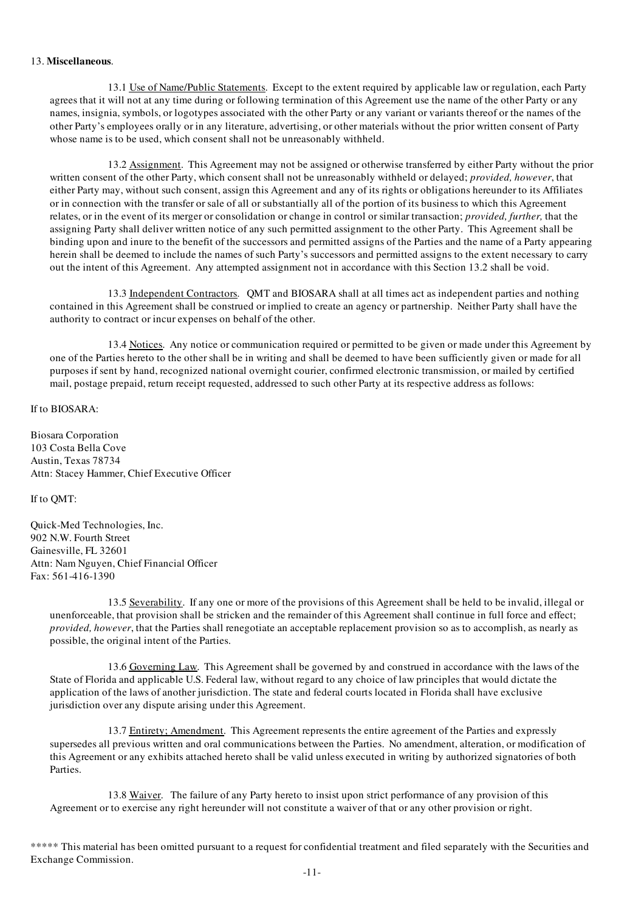#### 13. Miscellaneous.

13.1 Use of Name/Public Statements. Except to the extent required by applicable law or regulation, each Party agrees that it will not at any time during or following termination of this Agreement use the name of the other Party or any names, insignia, symbols, or logotypes associated with the other Party or any variant or variants thereof or the names of the other Party's employees orally or in any literature, advertising, or other materials without the prior written consent of Party whose name is to be used, which consent shall not be unreasonably withheld.

13.2 Assignment. This Agreement may not be assigned or otherwise transferred by either Party without the prior written consent of the other Party, which consent shall not be unreasonably withheld or delayed; *provided, however*, that either Party may, without such consent, assign this Agreement and any of its rights or obligations hereunder to its Affiliates or in connection with the transfer or sale of all or substantially all of the portion of its business to which this Agreement relates, or in the event of its merger or consolidation or change in control or similar transaction; *provided, further,* that the assigning Party shall deliver written notice of any such permitted assignment to the other Party. This Agreement shall be binding upon and inure to the benefit of the successors and permitted assigns of the Parties and the name of a Party appearing herein shall be deemed to include the names of such Party's successors and permitted assigns to the extent necessary to carry out the intent of this Agreement. Any attempted assignment not in accordance with this Section 13.2 shall be void.

13.3 Independent Contractors. QMT and BIOSARA shall at all times act as independent parties and nothing contained in this Agreement shall be construed or implied to create an agency or partnership. Neither Party shall have the authority to contract or incur expenses on behalf of the other.

13.4 Notices. Any notice or communication required or permitted to be given or made under this Agreement by one of the Parties hereto to the other shall be in writing and shall be deemed to have been sufficiently given or made for all purposes if sent by hand, recognized national overnight courier, confirmed electronic transmission, or mailed by certified mail, postage prepaid, return receipt requested, addressed to such other Party at its respective address as follows:

If to BIOSARA:

Biosara Corporation 103 Costa Bella Cove Austin, Texas 78734 Attn: Stacey Hammer, Chief Executive Officer

If to QMT:

Quick-Med Technologies, Inc. 902 N.W. Fourth Street Gainesville, FL 32601 Attn: Nam Nguyen, Chief Financial Officer Fax: 561-416-1390

13.5 Severability. If any one or more of the provisions of this Agreement shall be held to be invalid, illegal or unenforceable, that provision shall be stricken and the remainder of this Agreement shall continue in full force and effect; *provided, however*, that the Parties shall renegotiate an acceptable replacement provision so as to accomplish, as nearly as possible, the original intent of the Parties.

13.6 Governing Law. This Agreement shall be governed by and construed in accordance with the laws of the State of Florida and applicable U.S. Federal law, without regard to any choice of law principles that would dictate the application of the laws of another jurisdiction. The state and federal courts located in Florida shall have exclusive jurisdiction over any dispute arising under this Agreement.

13.7 Entirety; Amendment. This Agreement represents the entire agreement of the Parties and expressly supersedes all previous written and oral communications between the Parties. No amendment, alteration, or modification of this Agreement or any exhibits attached hereto shall be valid unless executed in writing by authorized signatories of both Parties.

13.8 Waiver. The failure of any Party hereto to insist upon strict performance of any provision of this Agreement or to exercise any right hereunder will not constitute a waiver of that or any other provision or right.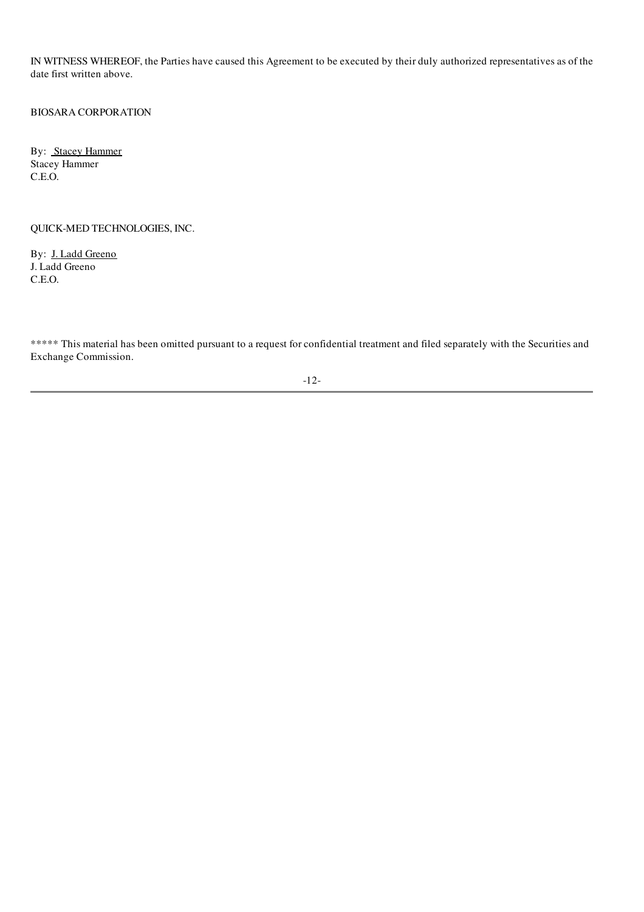IN WITNESS WHEREOF, the Parties have caused this Agreement to be executed by their duly authorized representatives as of the date first written above.

BIOSARA CORPORATION

By: **Stacey Hammer** Stacey Hammer C.E.O.

## QUICK-MED TECHNOLOGIES, INC.

By: J. Ladd Greeno J. Ladd Greeno C.E.O.

\*\*\*\*\* This material has been omitted pursuant to a request for confidential treatment and filed separately with the Securities and Exchange Commission.

-12-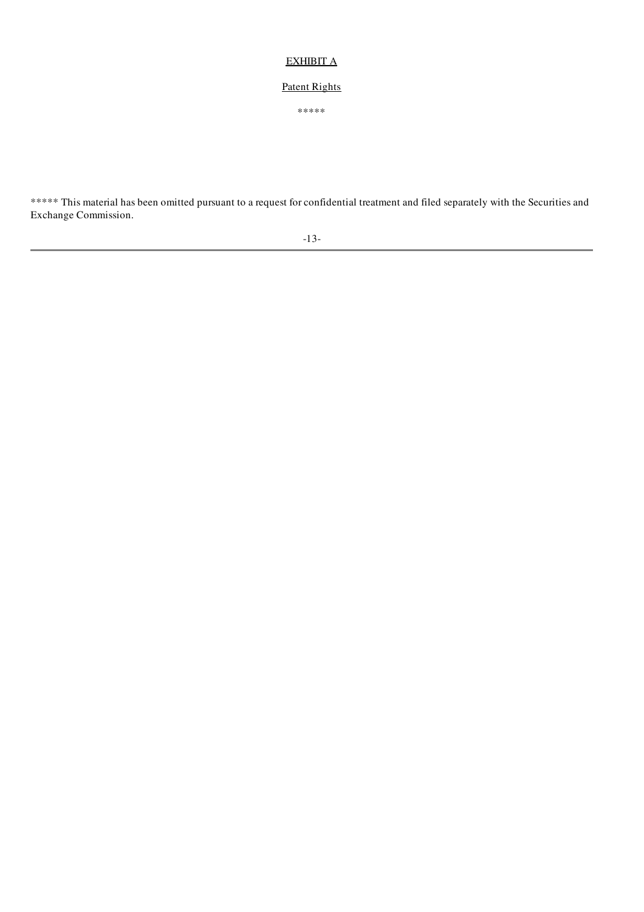# EXHIBIT A

# Patent Rights

\*\*\*\*\*

\*\*\*\*\* This material has been omitted pursuant to a request for confidential treatment and filed separately with the Securities and Exchange Commission.

-13-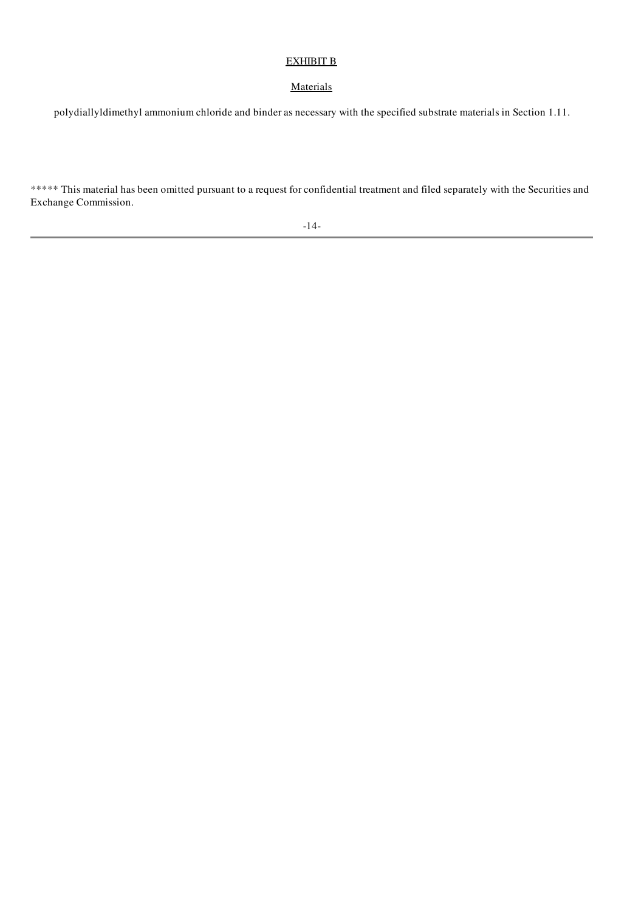# EXHIBIT B

# **Materials**

polydiallyldimethyl ammonium chloride and binder as necessary with the specified substrate materials in Section 1.11.